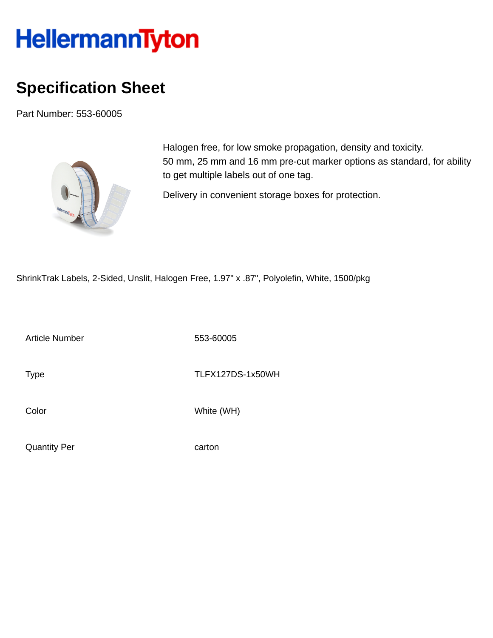## **HellermannTyton**

## **Specification Sheet**

Part Number: 553-60005



Halogen free, for low smoke propagation, density and toxicity. 50 mm, 25 mm and 16 mm pre-cut marker options as standard, for ability to get multiple labels out of one tag.

Delivery in convenient storage boxes for protection.

ShrinkTrak Labels, 2-Sided, Unslit, Halogen Free, 1.97" x .87", Polyolefin, White, 1500/pkg

Article Number 553-60005

Type Type TLFX127DS-1x50WH

Color White (WH)

Quantity Per carton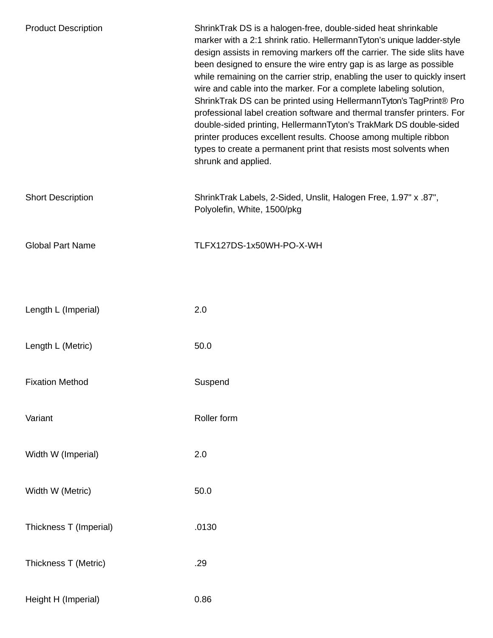| <b>Product Description</b> | ShrinkTrak DS is a halogen-free, double-sided heat shrinkable<br>marker with a 2:1 shrink ratio. HellermannTyton's unique ladder-style<br>design assists in removing markers off the carrier. The side slits have<br>been designed to ensure the wire entry gap is as large as possible<br>while remaining on the carrier strip, enabling the user to quickly insert<br>wire and cable into the marker. For a complete labeling solution,<br>ShrinkTrak DS can be printed using HellermannTyton's TagPrint® Pro<br>professional label creation software and thermal transfer printers. For<br>double-sided printing, HellermannTyton's TrakMark DS double-sided<br>printer produces excellent results. Choose among multiple ribbon<br>types to create a permanent print that resists most solvents when<br>shrunk and applied. |
|----------------------------|---------------------------------------------------------------------------------------------------------------------------------------------------------------------------------------------------------------------------------------------------------------------------------------------------------------------------------------------------------------------------------------------------------------------------------------------------------------------------------------------------------------------------------------------------------------------------------------------------------------------------------------------------------------------------------------------------------------------------------------------------------------------------------------------------------------------------------|
| <b>Short Description</b>   | ShrinkTrak Labels, 2-Sided, Unslit, Halogen Free, 1.97" x .87",<br>Polyolefin, White, 1500/pkg                                                                                                                                                                                                                                                                                                                                                                                                                                                                                                                                                                                                                                                                                                                                  |
| <b>Global Part Name</b>    | TLFX127DS-1x50WH-PO-X-WH                                                                                                                                                                                                                                                                                                                                                                                                                                                                                                                                                                                                                                                                                                                                                                                                        |
|                            |                                                                                                                                                                                                                                                                                                                                                                                                                                                                                                                                                                                                                                                                                                                                                                                                                                 |
| Length L (Imperial)        | 2.0                                                                                                                                                                                                                                                                                                                                                                                                                                                                                                                                                                                                                                                                                                                                                                                                                             |
| Length L (Metric)          | 50.0                                                                                                                                                                                                                                                                                                                                                                                                                                                                                                                                                                                                                                                                                                                                                                                                                            |
| <b>Fixation Method</b>     | Suspend                                                                                                                                                                                                                                                                                                                                                                                                                                                                                                                                                                                                                                                                                                                                                                                                                         |
| Variant                    | Roller form                                                                                                                                                                                                                                                                                                                                                                                                                                                                                                                                                                                                                                                                                                                                                                                                                     |
| Width W (Imperial)         | 2.0                                                                                                                                                                                                                                                                                                                                                                                                                                                                                                                                                                                                                                                                                                                                                                                                                             |
| Width W (Metric)           | 50.0                                                                                                                                                                                                                                                                                                                                                                                                                                                                                                                                                                                                                                                                                                                                                                                                                            |
| Thickness T (Imperial)     | .0130                                                                                                                                                                                                                                                                                                                                                                                                                                                                                                                                                                                                                                                                                                                                                                                                                           |
| Thickness T (Metric)       | .29                                                                                                                                                                                                                                                                                                                                                                                                                                                                                                                                                                                                                                                                                                                                                                                                                             |
| Height H (Imperial)        | 0.86                                                                                                                                                                                                                                                                                                                                                                                                                                                                                                                                                                                                                                                                                                                                                                                                                            |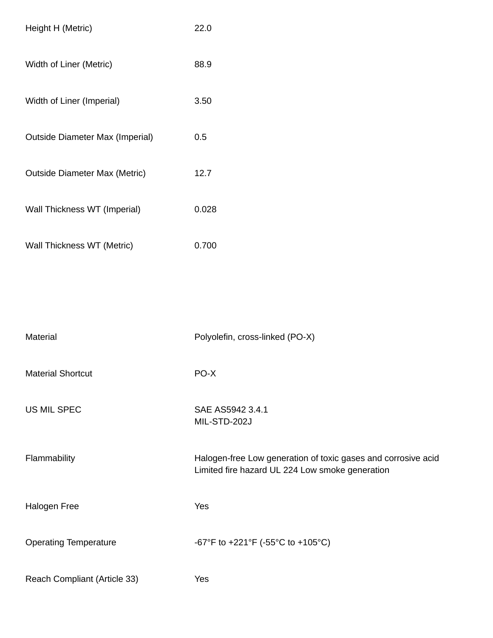| Height H (Metric)                      | 22.0  |
|----------------------------------------|-------|
| Width of Liner (Metric)                | 88.9  |
| Width of Liner (Imperial)              | 3.50  |
| <b>Outside Diameter Max (Imperial)</b> | 0.5   |
| <b>Outside Diameter Max (Metric)</b>   | 12.7  |
| Wall Thickness WT (Imperial)           | 0.028 |
| Wall Thickness WT (Metric)             | 0.700 |

| <b>Material</b>              | Polyolefin, cross-linked (PO-X)                                                                                  |
|------------------------------|------------------------------------------------------------------------------------------------------------------|
| <b>Material Shortcut</b>     | PO-X                                                                                                             |
| US MIL SPEC                  | SAE AS5942 3.4.1<br>MIL-STD-202J                                                                                 |
| Flammability                 | Halogen-free Low generation of toxic gases and corrosive acid<br>Limited fire hazard UL 224 Low smoke generation |
| Halogen Free                 | Yes                                                                                                              |
| <b>Operating Temperature</b> | -67°F to +221°F (-55°C to +105°C)                                                                                |
| Reach Compliant (Article 33) | Yes                                                                                                              |